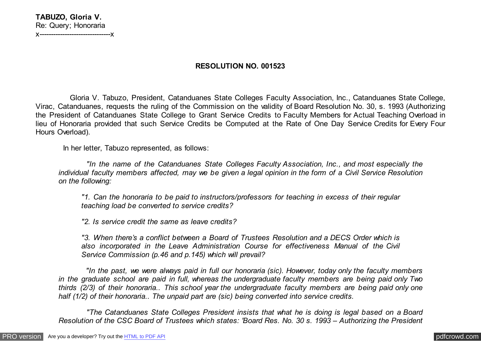# **RESOLUTION NO. 001523**

 Gloria V. Tabuzo, President, Catanduanes State Colleges Faculty Association, Inc., Catanduanes State College, Virac, Catanduanes, requests the ruling of the Commission on the validity of Board Resolution No. 30, s. 1993 (Authorizing the President of Catanduanes State College to Grant Service Credits to Faculty Members for Actual Teaching Overload in lieu of Honoraria provided that such Service Credits be Computed at the Rate of One Day Service Credits for Every Four Hours Overload).

In her letter, Tabuzo represented, as follows:

 *"In the name of the Catanduanes State Colleges Faculty Association, Inc., and most especially the individual faculty members affected, may we be given a legal opinion in the form of a Civil Service Resolution on the following:*

*"1. Can the honoraria to be paid to instructors/professors for teaching in excess of their regular teaching load be converted to service credits?*

*"2. Is service credit the same as leave credits?*

*"3. When there's a conflict between a Board of Trustees Resolution and a DECS Order which is also incorporated in the Leave Administration Course for effectiveness Manual of the Civil Service Commission (p.46 and p.145) which will prevail?*

 *"In the past, we were always paid in full our honoraria (sic). However, today only the faculty members in the graduate school are paid in full, whereas the undergraduate faculty members are being paid only Two thirds (2/3) of their honoraria.. This school year the undergraduate faculty members are being paid only one half (1/2) of their honoraria.. The unpaid part are (sic) being converted into service credits.*

 *"The Catanduanes State Colleges President insists that what he is doing is legal based on a Board Resolution of the CSC Board of Trustees which states: 'Board Res. No. 30 s. 1993 – Authorizing the President*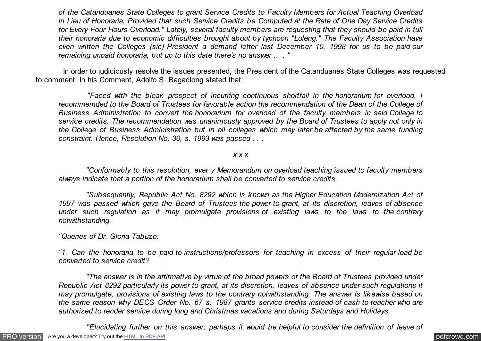*of the Catanduanes State Colleges to grant Service Credits to Faculty Members for Actual Teaching Overload in Lieu of Honoraria, Provided that such Service Credits be Computed at the Rate of One Day Service Credits for Every Four Hours Overload." Lately, several faculty members are requesting that they should be paid in full their honoraria due to economic difficulties brought about by typhoon "Loleng." The Faculty Association have even written the Colleges (sic) President a demand letter last December 10, 1998 for us to be paid our remaining unpaid honoraria, but up to this date there's no answer . . . "*

 In order to judiciously resolve the issues presented, the President of the Catanduanes State Colleges was requested to comment. In his Comment, Adolfo S. Bagadiong stated that:

 *"Faced with the bleak prospect of incurring continuous shortfall in the honorarium for overload, I recommemded to the Board of Trustees for favorable action the recommendation of the Dean of the College of Business Administration to convert the honorarium for overload of the faculty members in said College to service credits. The recommendation was unanimously approved by the Board of Trustees to apply not only in the College of Business Administration but in all colleges which may later be affected by the same funding constraint. Hence, Resolution No. 30, s. 1993 was passed . . .*

*x x x*

 *"Conformably to this resolution, ever y Memorandum on overload teaching issued to faculty members always indicate that a portion of the honorarium shall be converted to service credits.*

 *"Subsequently, Republic Act No. 8292 which is known as the Higher Education Modernization Act of 1997 was passed which gave the Board of Trustees the power to grant, at its discretion, leaves of absence under such regulation as it may promulgate provisions of existing laws to the laws to the contrary notwithstanding.*

*"Queries of Dr. Gloria Tabuzo:*

*"1. Can the honoraria to be paid to instructions/professors for teaching in excess of their regular load be converted to service credit?*

 *"The answer is in the affirmative by virtue of the broad powers of the Board of Trustees provided under Republic Act 8292 particularly its power to grant, at its discretion, leaves of absence under such regulations it may promulgate, provisions of existing laws to the contrary notwithstanding. The answer is likewise based on the same reason why DECS Order No. 67 s. 1987 grants service credits instead of cash to teacher who are authorized to render service during long and Christmas vacations and during Saturdays and Holidays.*

 *"Elucidating further on this answer, perhaps it would be helpful to consider the definition of leave of*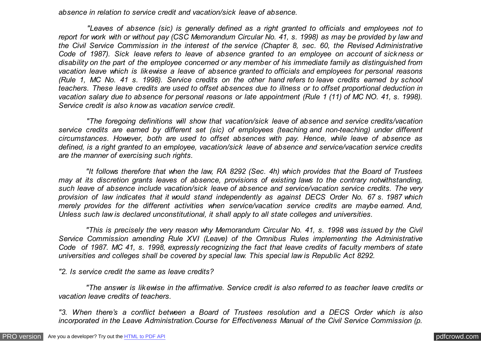*absence in relation to service credit and vacation/sick leave of absence.*

 *"Leaves of absence (sic) is generally defined as a right granted to officials and employees not to report for work with or without pay (CSC Memorandum Circular No. 41, s. 1998) as may be provided by law and the Civil Service Commission in the interest of the service (Chapter 8, sec. 60, the Revised Administrative Code of 1987). Sick leave refers to leave of absence granted to an employee on account of sickness or disability on the part of the employee concerned or any member of his immediate family as distinguished from vacation leave which is likewise a leave of absence granted to officials and employees for personal reasons (Rule 1, MC No. 41 s. 1998). Service credits on the other hand refers to leave credits earned by school teachers. These leave credits are used to offset absences due to illness or to offset proportional deduction in vacation salary due to absence for personal reasons or late appointment (Rule 1 (11) of MC NO. 41, s. 1998). Service credit is also know as vacation service credit.*

 *"The foregoing definitions will show that vacation/sick leave of absence and service credits/vacation service credits are earned by different set (sic) of employees (teaching and non-teaching) under different circumstances. However, both are used to offset absences with pay. Hence, while leave of absence as defined, is a right granted to an employee, vacation/sick leave of absence and service/vacation service credits are the manner of exercising such rights.*

 *"It follows therefore that when the law, RA 8292 (Sec. 4h) which provides that the Board of Trustees may at its discretion grants leaves of absence, provisions of existing laws to the contrary notwithstanding, such leave of absence include vacation/sick leave of absence and service/vacation service credits. The very provision of law indicates that it would stand independently as against DECS Order No. 67 s. 1987 which merely provides for the different activities when service/vacation service credits are maybe earned. And, Unless such law is declared unconstitutional, it shall apply to all state colleges and universities.*

 *"This is precisely the very reason why Memorandum Circular No. 41, s. 1998 was issued by the Civil Service Commission amending Rule XVI (Leave) of the Omnibus Rules implementing the Administrative Code of 1987. MC 41, s. 1998, expressly recognizing the fact that leave credits of faculty members of state universities and colleges shall be covered by special law. This special law is Republic Act 8292.*

*"2. Is service credit the same as leave credits?*

 *"The answer is likewise in the affirmative. Service credit is also referred to as teacher leave credits or vacation leave credits of teachers.*

*"3. When there's a conflict between a Board of Trustees resolution and a DECS Order which is also incorporated in the Leave Administration.Course for Effectiveness Manual of the Civil Service Commission (p.*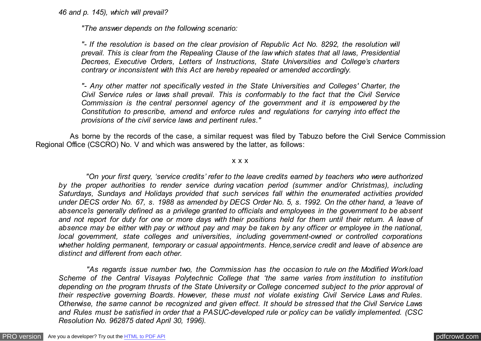*46 and p. 145), which will prevail?*

*"The answer depends on the following scenario:*

*"- If the resolution is based on the clear provision of Republic Act No. 8292, the resolution will prevail. This is clear from the Repealing Clause of the law which states that all laws, Presidential Decrees, Executive Orders, Letters of Instructions, State Universities and College's charters contrary or inconsistent with this Act are hereby repealed or amended accordingly.*

*"- Any other matter not specifically vested in the State Universities and Colleges' Charter, the Civil Service rules or laws shall prevail. This is conformably to the fact that the Civil Service Commission is the central personnel agency of the government and it is empowered by the Constitution to prescribe, amend and enforce rules and regulations for carrying into effect the provisions of the civil service laws and pertinent rules."*

 As borne by the records of the case, a similar request was filed by Tabuzo before the Civil Service Commission Regional Office (CSCRO) No. V and which was answered by the latter, as follows:

#### x x x

 *"On your first query, 'service credits' refer to the leave credits earned by teachers who were authorized by the proper authorities to render service during vacation period (summer and/or Christmas), including Saturdays, Sundays and Holidays provided that such services fall within the enumerated activities provided under DECS order No. 67, s. 1988 as amended by DECS Order No. 5, s. 1992. On the other hand, a 'leave of absence'is generally defined as a privilege granted to officials and employees in the government to be absent and not report for duty for one or more days with their positions held for them until their return. A leave of absence may be either with pay or without pay and may be taken by any officer or employee in the national, local government, state colleges and universities, including government-owned or controlled corporations whether holding permanent, temporary or casual appointments. Hence,service credit and leave of absence are distinct and different from each other.*

 *"As regards issue number two, the Commission has the occasion to rule on the Modified Workload Scheme of the Central Visayas Polytechnic College that 'the same varies from institution to institution depending on the program thrusts of the State University or College concerned subject to the prior approval of their respective governing Boards. However, these must not violate existing Civil Service Laws and Rules. Otherwise, the same cannot be recognized and given effect. It should be stressed that the Civil Service Laws and Rules must be satisfied in order that a PASUC-developed rule or policy can be validly implemented. (CSC Resolution No. 962875 dated April 30, 1996).*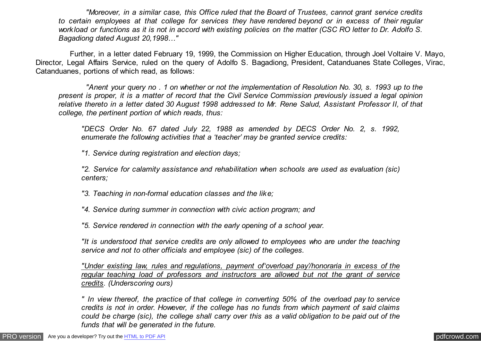*"Moreover, in a similar case, this Office ruled that the Board of Trustees, cannot grant service credits to certain employees at that college for services they have rendered beyond or in excess of their regular workload or functions as it is not in accord with existing policies on the matter (CSC RO letter to Dr. Adolfo S. Bagadiong dated August 20,1998…"*

 Further, in a letter dated February 19, 1999, the Commission on Higher Education, through Joel Voltaire V. Mayo, Director, Legal Affairs Service, ruled on the query of Adolfo S. Bagadiong, President, Catanduanes State Colleges, Virac, Catanduanes, portions of which read, as follows:

 *"Anent your query no . 1 on whether or not the implementation of Resolution No. 30, s. 1993 up to the present is proper, it is a matter of record that the Civil Service Commission previously issued a legal opinion relative thereto in a letter dated 30 August 1998 addressed to Mr. Rene Salud, Assistant Professor II, of that college, the pertinent portion of which reads, thus:*

*"DECS Order No. 67 dated July 22, 1988 as amended by DECS Order No. 2, s. 1992, enumerate the following activities that a 'teacher' may be granted service credits:*

*"1. Service during registration and election days;*

*"2. Service for calamity assistance and rehabilitation when schools are used as evaluation (sic) centers;*

*"3. Teaching in non-formal education classes and the like;*

*"4. Service during summer in connection with civic action program; and*

*"5. Service rendered in connection with the early opening of a school year.*

*"It is understood that service credits are only allowed to employees who are under the teaching service and not to other officials and employee (sic) of the colleges.*

*"Under existing law, rules and regulations, payment of'overload pay'/honoraria in excess of the regular teaching load of professors and instructors are allowed but not the grant of service credits. (Underscoring ours)*

*" In view thereof, the practice of that college in converting 50% of the overload pay to service credits is not in order. However, if the college has no funds from which payment of said claims could be charge (sic), the college shall carry over this as a valid obligation to be paid out of the funds that will be generated in the future.*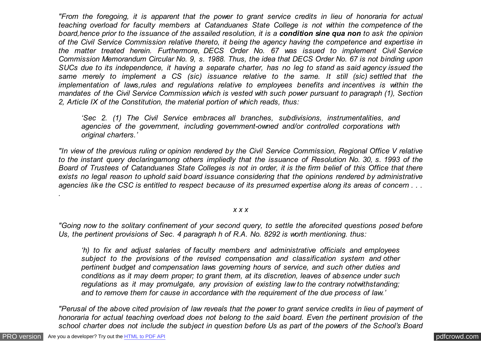*"From the foregoing, it is apparent that the power to grant service credits in lieu of honoraria for actual teaching overload for faculty members at Catanduanes State College is not within the competence of the board,hence prior to the issuance of the assailed resolution, it is a condition sine qua non to ask the opinion of the Civil Service Commission relative thereto, it being the agency having the competence and expertise in the matter treated herein. Furthermore, DECS Order No. 67 was issued to implement Civil Service Commission Memorandum Circular No. 9, s. 1988. Thus, the idea that DECS Order No. 67 is not binding upon SUCs due to its independence, it having a separate charter, has no leg to stand as said agency issued the same merely to implement a CS (sic) issuance relative to the same. It still (sic) settled that the implementation of laws,rules and regulations relative to employees benefits and incentives is within the mandates of the Civil Service Commission which is vested with such power pursuant to paragraph (1), Section 2, Article IX of the Constitution, the material portion of which reads, thus:*

*'Sec 2. (1) The Civil Service embraces all branches, subdivisions, instrumentalities, and agencies of the government, including government-owned and/or controlled corporations with original charters.'*

*"In view of the previous ruling or opinion rendered by the Civil Service Commission, Regional Office V relative to the instant query declaringamong others impliedly that the issuance of Resolution No. 30, s. 1993 of the Board of Trustees of Catanduanes State Colleges is not in order, it is the firm belief of this Office that there exists no legal reason to uphold said board issuance considering that the opinions rendered by administrative agencies like the CSC is entitled to respect because of its presumed expertise along its areas of concern . . .*

### *x x x*

*"Going now to the solitary confinement of your second query, to settle the aforecited questions posed before Us, the pertinent provisions of Sec. 4 paragraph h of R.A. No. 8292 is worth mentioning. thus:*

*'h) to fix and adjust salaries of faculty members and administrative officials and employees subject to the provisions of the revised compensation and classification system and other pertinent budget and compensation laws governing hours of service, and such other duties and conditions as it may deem proper; to grant them, at its discretion, leaves of absence under such regulations as it may promulgate, any provision of existing law to the contrary notwithstanding; and to remove them for cause in accordance with the requirement of the due process of law.'*

*"Perusal of the above cited provision of law reveals that the power to grant service credits in lieu of payment of honoraria for actual teaching overload does not belong to the said board. Even the pertinent provision of the school charter does not include the subject in question before Us as part of the powers of the School's Board*

*.*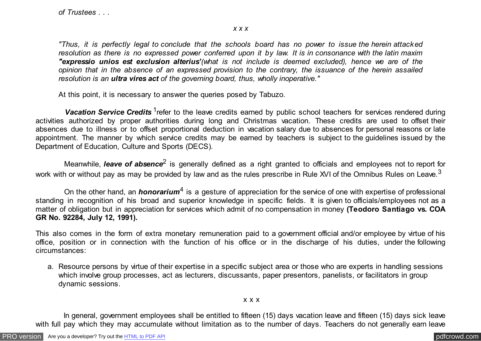### *x x x*

*"Thus, it is perfectly legal to conclude that the schools board has no power to issue the herein attacked resolution as there is no expressed power conferred upon it by law. It is in consonance with the latin maxim "expressio unios est exclusion alterius'(what is not include is deemed excluded), hence we are of the opinion that in the absence of an expressed provision to the contrary, the issuance of the herein assailed resolution is an ultra vires act of the governing board, thus, wholly inoperative."*

At this point, it is necessary to answer the queries posed by Tabuzo.

Vacation Service Credits <sup>1</sup>refer to the leave credits earned by public school teachers for services rendered during activities authorized by proper authorities during long and Christmas vacation. These credits are used to offset their absences due to illness or to offset proportional deduction in vacation salary due to absences for personal reasons or late appointment. The manner by which service credits may be earned by teachers is subject to the guidelines issued by the Department of Education, Culture and Sports (DECS).

Meanwhile, *leave of absence*<sup>2</sup> is generally defined as a right granted to officials and employees not to report for work with or without pay as may be provided by law and as the rules prescribe in Rule XVI of the Omnibus Rules on Leave.<sup>3</sup>

On the other hand, an *honorarium<sup>4</sup>* is a gesture of appreciation for the service of one with expertise of professional standing in recognition of his broad and superior knowledge in specific fields. It is given to officials/employees not as a matter of obligation but in appreciation for services which admit of no compensation in money **(Teodoro Santiago vs. COA GR No. 92284, July 12, 1991).**

This also comes in the form of extra monetary remuneration paid to a government official and/or employee by virtue of his office, position or in connection with the function of his office or in the discharge of his duties, under the following circumstances:

a. Resource persons by virtue of their expertise in a specific subject area or those who are experts in handling sessions which involve group processes, act as lecturers, discussants, paper presentors, panelists, or facilitators in group dynamic sessions.

## x x x

 In general, government employees shall be entitled to fifteen (15) days vacation leave and fifteen (15) days sick leave with full pay which they may accumulate without limitation as to the number of days. Teachers do not generally earn leave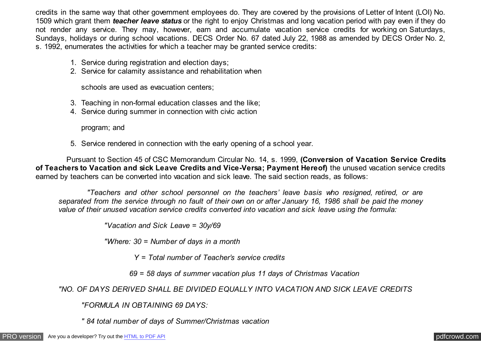credits in the same way that other government employees do. They are covered by the provisions of Letter of Intent (LOI) No. 1509 which grant them *teacher leave status* or the right to enjoy Christmas and long vacation period with pay even if they do not render any service. They may, however, earn and accumulate vacation service credits for working on Saturdays, Sundays, holidays or during school vacations. DECS Order No. 67 dated July 22, 1988 as amended by DECS Order No. 2, s. 1992, enumerates the activities for which a teacher may be granted service credits:

- 1. Service during registration and election days;
- 2. Service for calamity assistance and rehabilitation when

schools are used as evacuation centers;

- 3. Teaching in non-formal education classes and the like;
- 4. Service during summer in connection with civic action

program; and

5. Service rendered in connection with the early opening of a school year.

 Pursuant to Section 45 of CSC Memorandum Circular No. 14, s. 1999, **(Conversion of Vacation Service Credits of Teachers to Vacation and sick Leave Credits and Vice-Versa; Payment Hereof)** the unused vacation service credits earned by teachers can be converted into vacation and sick leave. The said section reads, as follows:

 *"Teachers and other school personnel on the teachers' leave basis who resigned, retired, or are separated from the service through no fault of their own on or after January 16, 1986 shall be paid the money value of their unused vacation service credits converted into vacation and sick leave using the formula:*

*"Vacation and Sick Leave = 30y/69*

*"Where: 30 = Number of days in a month*

 *Y = Total number of Teacher's service credits*

 *69 = 58 days of summer vacation plus 11 days of Christmas Vacation*

*"NO. OF DAYS DERIVED SHALL BE DIVIDED EQUALLY INTO VACATION AND SICK LEAVE CREDITS*

*"FORMULA IN OBTAINING 69 DAYS:*

*" 84 total number of days of Summer/Christmas vacation*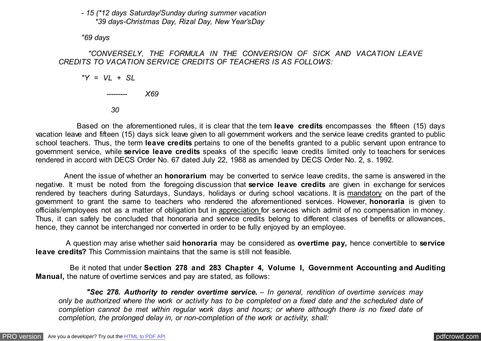## *- 15 (\*12 days Saturday/Sunday during summer vacation \*39 days-Christmas Day, Rizal Day, New Year'sDay*

*"69 days*

## *"CONVERSELY, THE FORMULA IN THE CONVERSION OF SICK AND VACATION LEAVE CREDITS TO VACATION SERVICE CREDITS OF TEACHERS IS AS FOLLOWS:*

*"Y = VL + SL*

 $X69$ 

 *30*

 Based on the aforementioned rules, it is clear that the tern **leave credits** encompasses the fifteen (15) days vacation leave and fifteen (15) days sick leave given to all government workers and the service leave credits granted to public school teachers. Thus, the term **leave credits** pertains to one of the benefits granted to a public servant upon entrance to government service, while **service leave credits** speaks of the specific leave credits limited only to teachers for services rendered in accord with DECS Order No. 67 dated July 22, 1988 as amended by DECS Order No. 2, s. 1992.

 Anent the issue of whether an **honorarium** may be converted to service leave credits, the same is answered in the negative. It must be noted from the foregoing discussion that **service leave credits** are given in exchange for services rendered by teachers during Saturdays, Sundays, holidays or during school vacations. It is mandatory on the part of the government to grant the same to teachers who rendered the aforementioned services. However, **honoraria** is given to officials/employees not as a matter of obligation but in appreciation for services which admit of no compensation in money. Thus, it can safely be concluded that honoraria and service credits belong to different classes of benefits or allowances, hence, they cannot be interchanged nor converted in order to be fully enjoyed by an employee.

 A question may arise whether said **honoraria** may be considered as **overtime pay,** hence convertible to **service leave credits?** This Commission maintains that the same is still not feasible.

 Be it noted that under **Section 278 and 283 Chapter 4, Volume I, Government Accounting and Auditing Manual,** the nature of overtime services and pay are stated, as follows:

 *"Sec 278. Authority to render overtime service. – In general, rendition of overtime services may only be authorized where the work or activity has to be completed on a fixed date and the scheduled date of completion cannot be met within regular work days and hours; or where although there is no fixed date of completion, the prolonged delay in, or non-completion of the work or activity, shall:*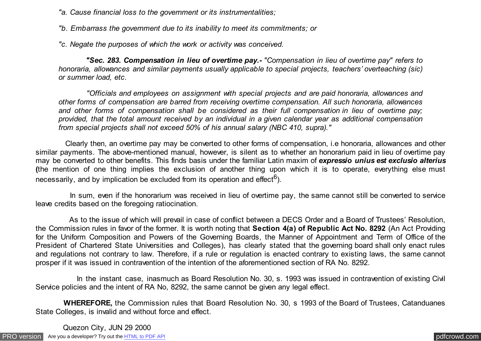*"a. Cause financial loss to the government or its instrumentalities;*

*"b. Embarrass the government due to its inability to meet its commitments; or*

*"c. Negate the purposes of which the work or activity was conceived.*

 *"Sec. 283. Compensation in lieu of overtime pay.- "Compensation in lieu of overtime pay" refers to honoraria, allowances and similar payments usually applicable to special projects, teachers' overteaching (sic) or summer load, etc.*

 *"Officials and employees on assignment with special projects and are paid honoraria, allowances and other forms of compensation are barred from receiving overtime compensation. All such honoraria, allowances and other forms of compensation shall be considered as their full compensation in lieu of overtime pay; provided, that the total amount received by an individual in a given calendar year as additional compensation from special projects shall not exceed 50% of his annual salary (NBC 410, supra)."*

 Clearly then, an overtime pay may be converted to other forms of compensation, i.e honoraria, allowances and other similar payments. The above-mentioned manual, however, is silent as to whether an honorarium paid in lieu of overtime pay may be converted to other benefits. This finds basis under the familiar Latin maxim of *expressio unius est exclusio alterius* **(**the mention of one thing implies the exclusion of another thing upon which it is to operate, everything else must necessarily, and by implication be excluded from its operation and effect<sup>6</sup>).

 In sum, even if the honorarium was received in lieu of overtime pay, the same cannot still be converted to service leave credits based on the foregoing ratiocination.

 As to the issue of which will prevail in case of conflict between a DECS Order and a Board of Trustees' Resolution, the Commission rules in favor of the former. It is worth noting that **Section 4(a) of Republic Act No. 8292** (An Act Providing for the Uniform Composition and Powers of the Governing Boards, the Manner of Appointment and Term of Office of the President of Chartered State Universities and Colleges), has clearly stated that the governing board shall only enact rules and regulations not contrary to law. Therefore, if a rule or regulation is enacted contrary to existing laws, the same cannot prosper if it was issued in contravention of the intention of the aforementioned section of RA No. 8292.

 In the instant case, inasmuch as Board Resolution No. 30, s. 1993 was issued in contravention of existing Civil Service policies and the intent of RA No, 8292, the same cannot be given any legal effect.

 **WHEREFORE,** the Commission rules that Board Resolution No. 30, s 1993 of the Board of Trustees, Catanduanes State Colleges, is invalid and without force and effect.

[PRO version](http://pdfcrowd.com/customize/) Are you a developer? Try out th[e HTML to PDF API](http://pdfcrowd.com/html-to-pdf-api/?ref=pdf) process and the example of the HTML to PDF API [pdfcrowd.com](http://pdfcrowd.com) Quezon City, JUN 29 2000